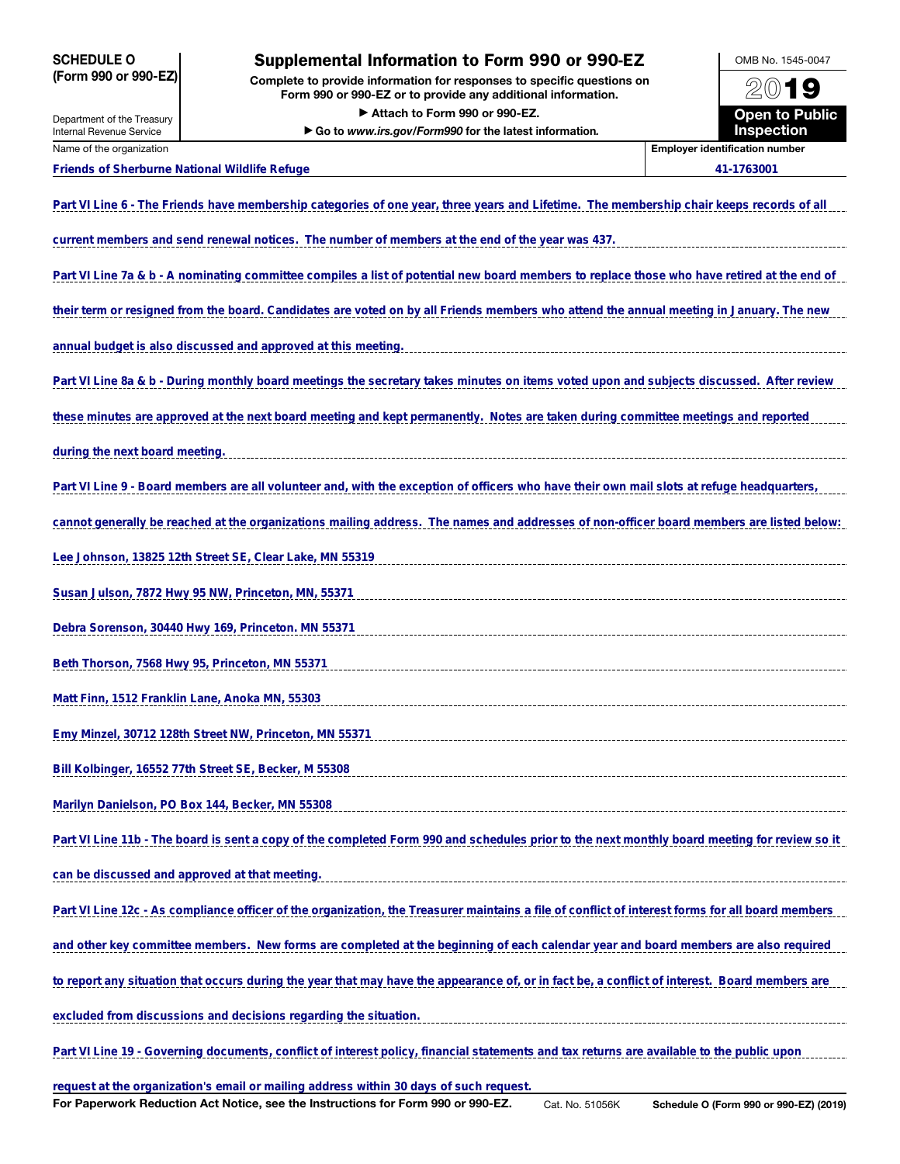## SCHEDULE O (Form 990 or 990-EZ)

# Supplemental Information to Form 990 or 990-EZ

Complete to provide information for responses to specific questions on Form 990 or 990-EZ or to provide any additional information. ▶ Attach to Form 990 or 990-EZ.

▶ Go to *www.irs.gov/Form990* for the latest information*.*



Internal Revenue Service Name of the organization **Employer identification number**  $\blacksquare$ 

Department of the Treasury

### **Friends of Sherburne National Wildlife Refuge 41-1763001**

| Part VI Line 6 - The Friends have membership categories of one year, three years and Lifetime. The membership chair keeps records of all         |
|--------------------------------------------------------------------------------------------------------------------------------------------------|
| current members and send renewal notices. The number of members at the end of the year was 437.                                                  |
| Part VI Line 7a & b - A nominating committee compiles a list of potential new board members to replace those who have retired at the end of      |
| their term or resigned from the board. Candidates are voted on by all Friends members who attend the annual meeting in January. The new          |
| annual budget is also discussed and approved at this meeting.                                                                                    |
| Part VI Line 8a & b - During monthly board meetings the secretary takes minutes on items voted upon and subjects discussed. After review         |
| these minutes are approved at the next board meeting and kept permanently. Notes are taken during committee meetings and reported                |
| during the next board meeting.                                                                                                                   |
| Part VI Line 9 - Board members are all volunteer and, with the exception of officers who have their own mail slots at refuge headquarters,       |
| cannot generally be reached at the organizations mailing address. The names and addresses of non-officer board members are listed below:         |
| Lee Johnson, 13825 12th Street SE, Clear Lake, MN 55319                                                                                          |
| Susan Julson, 7872 Hwy 95 NW, Princeton, MN, 55371                                                                                               |
| Debra Sorenson, 30440 Hwy 169, Princeton. MN 55371                                                                                               |
| Beth Thorson, 7568 Hwy 95, Princeton, MN 55371                                                                                                   |
| Matt Finn, 1512 Franklin Lane, Anoka MN, 55303                                                                                                   |
| Emy Minzel, 30712 128th Street NW, Princeton, MN 55371                                                                                           |
| Bill Kolbinger, 16552 77th Street SE, Becker, M 55308                                                                                            |
| Marilyn Danielson, PO Box 144, Becker, MN 55308                                                                                                  |
| Part VI Line 11b - The board is sent a copy of the completed Form 990 and schedules prior to the next monthly board meeting for review so it     |
| can be discussed and approved at that meeting.                                                                                                   |
| Part VI Line 12c - As compliance officer of the organization, the Treasurer maintains a file of conflict of interest forms for all board members |
| and other key committee members. New forms are completed at the beginning of each calendar year and board members are also required              |
| to report any situation that occurs during the year that may have the appearance of, or in fact be, a conflict of interest. Board members are    |
| excluded from discussions and decisions regarding the situation.                                                                                 |
| Part VI Line 19 - Governing documents, conflict of interest policy, financial statements and tax returns are available to the public upon        |
|                                                                                                                                                  |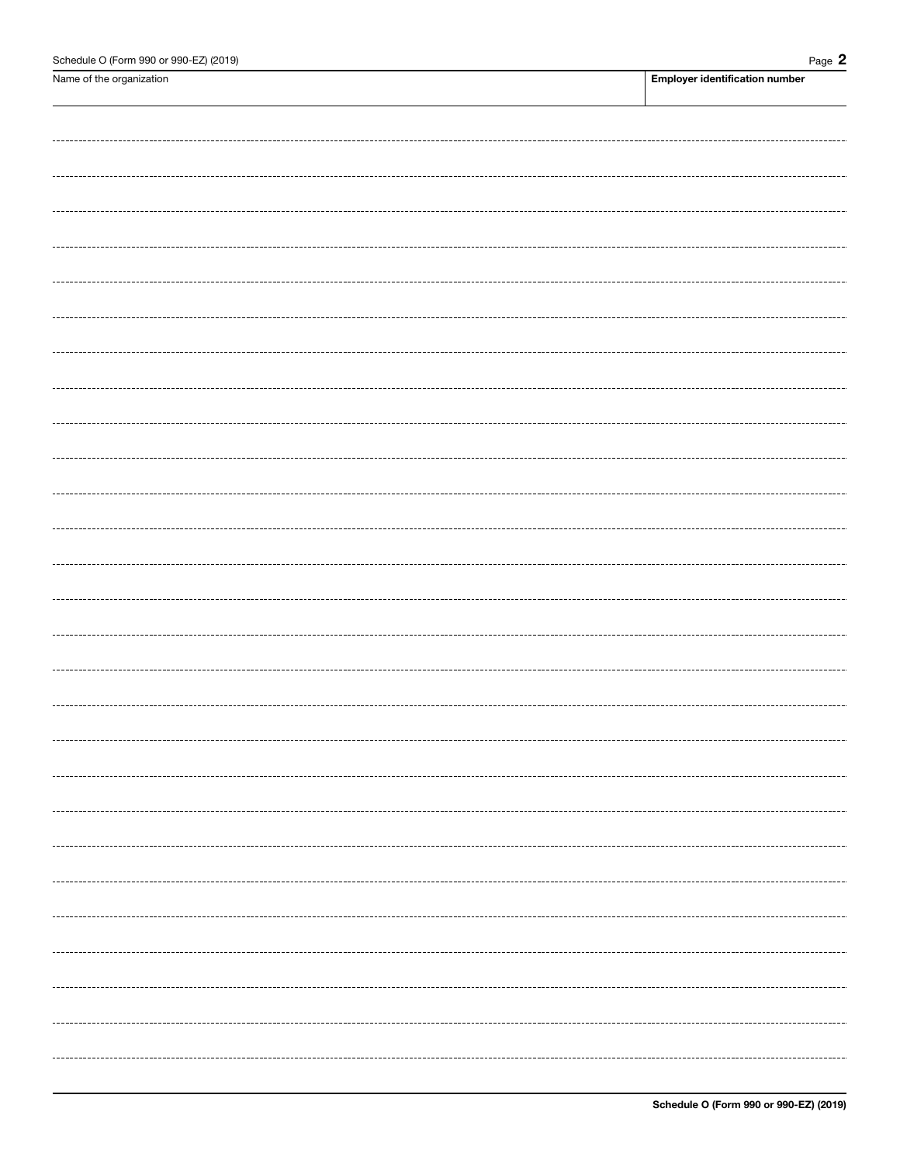Name of the organization **Employer identification number**  $\blacksquare$